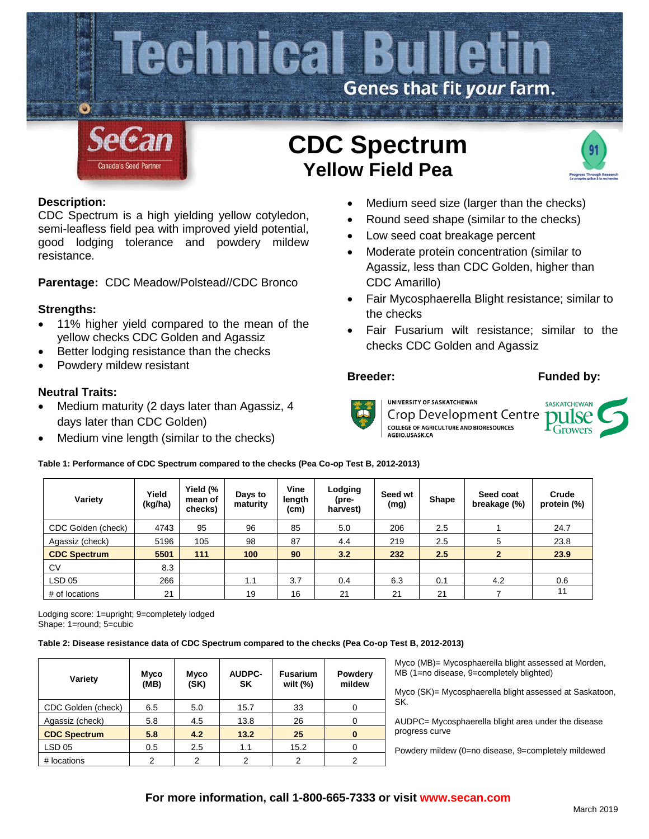

# **Description:**

CDC Spectrum is a high yielding yellow cotyledon, semi-leafless field pea with improved yield potential, good lodging tolerance and powdery mildew resistance.

**Parentage:** CDC Meadow/Polstead//CDC Bronco

# **Strengths:**

- 11% higher yield compared to the mean of the yellow checks CDC Golden and Agassiz
- Better lodging resistance than the checks
- Powdery mildew resistant

# **Neutral Traits:**

- Medium maturity (2 days later than Agassiz, 4 days later than CDC Golden)
- Medium vine length (similar to the checks)

# Medium seed size (larger than the checks)

- Round seed shape (similar to the checks)
- Low seed coat breakage percent
- Moderate protein concentration (similar to Agassiz, less than CDC Golden, higher than CDC Amarillo)
- Fair Mycosphaerella Blight resistance; similar to the checks
- Fair Fusarium wilt resistance; similar to the checks CDC Golden and Agassiz

## **Breeder: Funded by:**



UNIVERSITY OF SASKATCHEWAN Crop Development Centre **COLLEGE OF AGRICULTURE AND BIORESOURCES** AGBIO.USASK.CA

SASKATCHEWAN pulse  $\mathbf{r}_{\text{Grovers}}$ 

## **Table 1: Performance of CDC Spectrum compared to the checks (Pea Co-op Test B, 2012-2013)**

| Variety             | Yield<br>(kg/ha) | Yield (%<br>mean of<br>checks) | Days to<br>maturity | Vine<br>length<br>(cm) | Lodging<br>(pre-<br>harvest) | Seed wt<br>(mg) | <b>Shape</b> | Seed coat<br>breakage (%) | Crude<br>protein (%) |  |
|---------------------|------------------|--------------------------------|---------------------|------------------------|------------------------------|-----------------|--------------|---------------------------|----------------------|--|
| CDC Golden (check)  | 4743             | 95                             | 96                  | 85                     | 5.0                          | 206             | 2.5          |                           | 24.7                 |  |
| Agassiz (check)     | 5196             | 105                            | 98                  | 87                     | 4.4                          | 219             | 2.5          | 5                         | 23.8                 |  |
| <b>CDC Spectrum</b> | 5501             | 111                            | 100                 | 90                     | 3.2                          | 232             | 2.5          | $\mathbf{2}$              | 23.9                 |  |
| CV                  | 8.3              |                                |                     |                        |                              |                 |              |                           |                      |  |
| LSD 05              | 266              |                                | 1.1                 | 3.7                    | 0.4                          | 6.3             | 0.1          | 4.2                       | 0.6                  |  |
| # of locations      | 21               |                                | 19                  | 16                     | 21                           | 21              | 21           |                           | 11                   |  |

Lodging score: 1=upright; 9=completely lodged Shape: 1=round; 5=cubic

## **Table 2: Disease resistance data of CDC Spectrum compared to the checks (Pea Co-op Test B, 2012-2013)**

| Variety             | Myco<br>(MB) | Myco<br>(SK) | <b>AUDPC-</b><br><b>SK</b> | <b>Fusarium</b><br>wilt $(\%)$ | Powdery<br>mildew |
|---------------------|--------------|--------------|----------------------------|--------------------------------|-------------------|
| CDC Golden (check)  | 6.5          | 5.0          | 15.7                       | 33                             |                   |
| Agassiz (check)     | 5.8          | 4.5          | 13.8                       | 26                             |                   |
| <b>CDC Spectrum</b> | 5.8          | 4.2          | 13.2                       | 25                             | 0                 |
| <b>LSD 05</b>       | 0.5          | 2.5          | 1.1                        | 15.2                           |                   |
| # locations         | 2            | 2            | $\overline{2}$             | 2                              | 2                 |

Myco (MB)= Mycosphaerella blight assessed at Morden, MB (1=no disease, 9=completely blighted)

Myco (SK)= Mycosphaerella blight assessed at Saskatoon, SK.

AUDPC= Mycosphaerella blight area under the disease progress curve

Powdery mildew (0=no disease, 9=completely mildewed